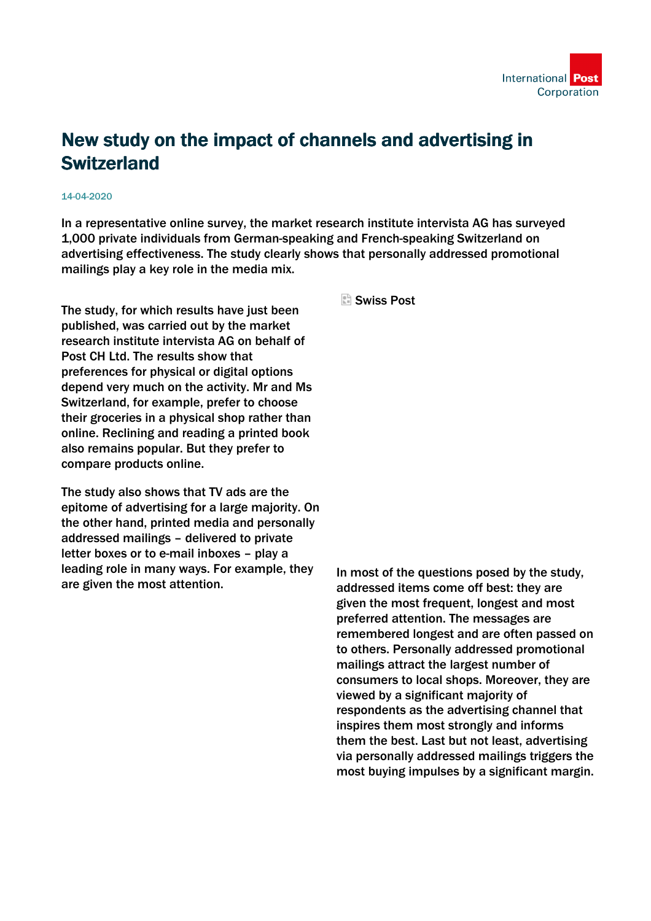

## New study on the impact of channels and advertising in **Switzerland**

## 14-04-2020

In a representative online survey, the market research institute intervista AG has surveyed 1,000 private individuals from German-speaking and French-speaking Switzerland on advertising effectiveness. The study clearly shows that personally addressed promotional mailings play a key role in the media mix.

The study, for which results have just been published, was carried out by the market research institute intervista AG on behalf of Post CH Ltd. The results show that preferences for physical or digital options depend very much on the activity. Mr and Ms Switzerland, for example, prefer to choose their groceries in a physical shop rather than online. Reclining and reading a printed book also remains popular. But they prefer to compare products online.

The study also shows that TV ads are the epitome of advertising for a large majority. On the other hand, printed media and personally addressed mailings – delivered to private letter boxes or to e-mail inboxes – play a leading role in many ways. For example, they are given the most attention.

Swiss Post

In most of the questions posed by the study, addressed items come off best: they are given the most frequent, longest and most preferred attention. The messages are remembered longest and are often passed on to others. Personally addressed promotional mailings attract the largest number of consumers to local shops. Moreover, they are viewed by a significant majority of respondents as the advertising channel that inspires them most strongly and informs them the best. Last but not least, advertising via personally addressed mailings triggers the most buying impulses by a significant margin.